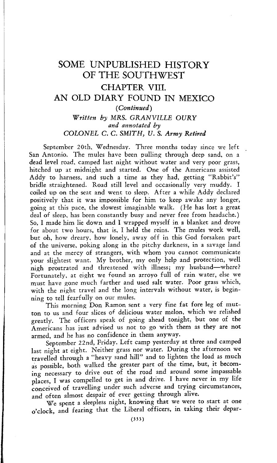## SOME UNPUBLISHED HISTORY OF THE SOUTHWEST CHAPTER VIII. AN OLD DIARY FOUND IN MEXICO *(Continued) Written by* MRS. *GRANVILLE OURY and annotated by* COLONEL C. C. *SMITH, U. S. Army Retired*

September 20th, Wednesday. Three months today since we left San Antonio. The mules have been pulling through deep sand, on a dead level road, camped last night without water and very poor grass, hitched up at midnight and started. One of the Americans assisted Addy to harness, and such a time as they had, getting "Rabbit's" bridle straightened. Road still level and occasionally very muddy. I coiled up on the seat and went to sleep. After a while Addy declared positively that it was impossible for him to keep awake any longer, going at this pace, the slowest imaginable walk. (He has lost a great deal of sleep, has been constantly busy and never free from headache.) So, I made him lie down and I wrapped myself in a blanket and drove for about two hours, that is, I held the reins. The mules work well, but oh, how dreary, how lonely, away off in this God forsaken part of the universe, poking along in the pitchy darkness, in a savage land and at the mercy of strangers, with whom you cannot communicate your slightest want. My brother, my only help and protection, well nigh prostrated and threatened with illness; my husband—where? Fortunately, at eight we found an arroyo full of rain water, else we must have gone much farther and used salt water. Poor grass which, with the night travel and the long intervals without water, is beginning to tell fearfully on our mules.

This morning Don Ramon sent a very fine fat fore leg of mutton to us and four slices of delicious water melon, which we relished greatly. The officers speak of going ahead tonight, but one of the Americans has just advised us not to go with them as they are not armed, and he has no confidence in them anyway.

September 22nd, Friday. Left camp yesterday at three and camped last night at eight. Neither grass nor water. During the afternoon we travelled through a "heavy sand hill" and to lighten the load as much as possible, both walked the greater part of the time, but, it becoming necessary to drive out of the road and around some impassable places, I was compelled to get in and drive. I have never in my life conceived of travelling under such adverse and trying circumstances, and often almost despair of ever getting through alive.

We spent a sleepless night, knowing that we were to start at one o'clock, and fearing that the Liberal officers, in taking their depar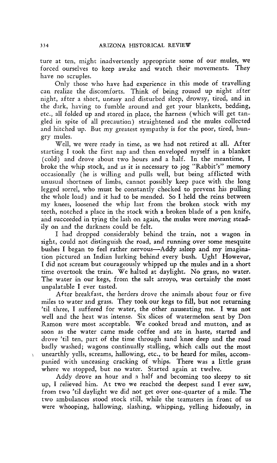ture at ten, might inadvertently appropriate some of our mules, we forced ourselves to keep awake and watch their movements. They have no scruples.

Only those who have had experience in this mode of travelling can realize the discomforts. Think of being roused up night after night, after a short, uneasy and disturbed sleep, drowsy, tired, and in the dark, having to fumble around and get your blankets, bedding, etc., all folded up and stored in place, the harness (which will get tangled in spite of all precaution) straightened and the mules collected and hitched up. But my greatest sympathy is for the poor, tired, hungry mules.

Well, we were ready in time, as we had not retired at all. After starting I took the first nap and then enveloped myself in a blanket (cold) and drove about two hours and a half. In the meantime, I broke the whip stock, and as it is necessary to jog "Rabbit's" memory occasionally (he is willing and pulls well, but being afflicted with unusual shortness of limbs, cannot possibly keep pace with the long legged sorrel, who must be constantly checked to prevent his pulling the whole load) and it had to be mended. So I held the reins between my knees, loosened the whip last from the broken stock with my teeth, notched a place in the stock with a broken blade of a pen knife, and succeeded in tying the lash on again, the mules were moving steadily on and the darkness could be felt.

I had dropped considerably behind the train, not a wagon in sight, could not distinguish the road, and running over some mesquite bushes I began to feel rather nervous—Addy asleep and my imagination pictured an Indian lurking behind every bush. Ugh! However, I did not scream but courageously whipped up the mules and in a short time overtook the train. We halted at daylight. No grass, no water. The water in our kegs, from the salt arroyo, was certainly the most unpalatable I ever tasted.

After breakfast, the herders drove the animals about four or five miles to water and grass. They took our kegs to fill, but not returning 'til three, I suffered for water, the other nauseating me. I was not well and the heat was intense. Six slices of watermelon sent by Don Ramon were most acceptable. We cooked bread and mutton, and as soon as the water came made coffee and ate in haste, started and drove 'til ten, part of the time through sand knee deep and the road badly washed; wagons continually stalling, which calls out the most unearthly yells, screams, hallowing, etc., to be heard for miles, accompanied with unceasing cracking of whips. There was a little grass where we stopped, but no water. Started again at twelve.

Addy drove an hour and a half and becoming too sleepy to sit up, I relieved him. At two we reached the deepest sand I ever saw, from two 'til daylight we did not get over one-quarter of a mile. The two ambulances stood stock still, while the teamsters in front of us were whooping, hallowing, slashing, whipping, yelling hideously, in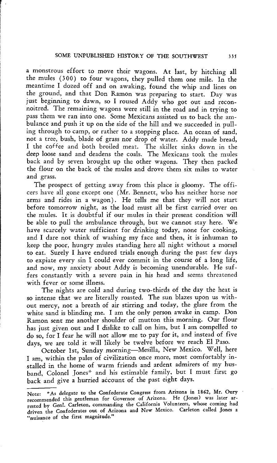a monstrous effort to move their wagons. At last, by hitching all the mules (300) to four wagons, they pulled them one mile. In the meantime I dozed off and on awaking, found the whip and lines on the ground, and that Don Ramon was preparing to start. Day was iust beginning to dawn, so I roused Addy who got out and reconnoitred. The remaining wagons were still in the road and in trying to pass them we ran into one. Some Mexicans assisted us to back the ambulance and push it up on the side of the hill and we succeeded in pulling through to camp, or rather to a stopping place. An ocean of sand, not a tree, bush, blade of grass nor drop of water. Addy made bread, I the coffee and both broiled meat. The skillet sinks down in the deep loose sand and deadens the coals. The Mexicans took the mules back and by seven brought up the other wagons. They then packed the flour on the back of the mules and drove them six miles to water and grass.

The prospect of getting away from this place is gloomy. The officers have all gone except one (Mr. Bennett, who has neither horse nor arms and rides in a wagon). He tells me that they will not start before tomorrow night, as the load must all be first carried over on the mules. It is doubtful if our mules in their present condition will be able to pull the ambulance through, but we cannot stay here. We have scarcely water sufficient for drinking today, none for cooking, and I dare not think of washing my face and then, it is inhuman to keep the poor, hungry mules standing here all night without a morsel to eat. Surely I have endured trials enough during the past few days to expiate every sin I could ever commit in the course of a long life, and now, my anxiety about Addy is becoming unendurable. He suffers constantly with a severe pain in his head and seems threatened with fever or some illness.

The nights are cold and during two-thirds of the day the heat is so intense that we are literally roasted. The sun blazes upon us without mercy, not a breath of air stirring and today, the glare from the white sand is blinding me. I am the only person awake in camp. Don Ramon sent me another shoulder of mutton this morning. Our flour has just given out and I dislike to call on him, but I am compelled to do so, for I fear he will not allow me to pay for it, and instead of five days, we are told it will likely be twelve before we reach El Paso.

October 1st, Sunday morning—Mesilla, New Mexico. Well, here I am, within the pales of civilization once more, most comfortably installed in the home of warm friends and ardent admirers of my husband, Colonel Jones\* and his estimable family, but I must first go back and give a hurried account of the past eight days.

Note: \*As delegate to the Confederate Congress from Arizona in 1862, Mr. Oury recommended this gentleman for Governor of Arizona. He (Jones) was later arrested by Genl. Carleton, commanding the California Volunteers, whose coming had driven the Confederates out of Arizona and New Mexico. Carleton called Jones a "nuisance of the first magnitude."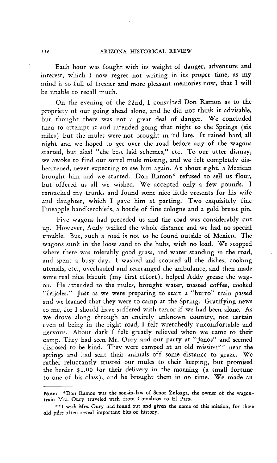Each hour was fought with its weight of danger, adventure and interest, which I now regret not writing in its proper time, as my mind is so full of fresher and more pleasant memories now, that I will be unable to recall much.

On the evening of the 22nd, I consulted Don Ramon as to the propriety of our going ahead alone, and he did not think it advisable, but thought there was not a great deal of danger. We concluded then to attempt it and intended going that night to the Springs (six miles) but the mules were not brought in 'til late. It rained hard all night and we hoped to get over the road before any of the wagons started, but alas! "the best laid schemes," etc. To our utter dismay, we awoke to find our sorrel mule missing, and we felt completely disheartened, never expecting to see him again. At about eight, a Mexican brought him and we started. Don Ramon" refused to sell us flour, but offered us all we wished. We accepted only a few pounds. I ransacked my trunks and found some nice little presents for his wife and daughter, which I gave him at parting. Two exquisitely fine Pineapple handkerchiefs, a bottle of fine cologne and a gold breast pin.

Five wagons had preceded us and the road was considerably cut up. However, Addy walked the whole distance and we had no special trouble. But, such a road is not to be found outside of Mexico. The wagons sunk in the loose sand to the hubs, with no load. We stopped where there was tolerably good grass, and water standing in the road, and spent a busy day. I washed and scoured all the dishes, cooking utensils, etc., overhauled and rearranged the ambulance, and then made some real nice biscuit (my first effort), helped Addy grease the wagon. He attended to the mules, brought water, toasted coffee, cooked "frijoles." Just as we were preparing to start a "burro" train passed and we learned that they were to camp at the Spring. Gratifying news to me, for I should have suffered with terror if we had been alone. As we drove along through an entirely unknown country, not certain even of being in the right road, I felt wretchedly uncomfortable and nervous. About dark I felt greatly relieved when we came to their camp. They had seen Mr. Oury and our party at "Janos" and seemed disposed to be kind. They were camped at an old mission's\* near the springs and had sent their animals off some distance to graze. We rather reluctantly trusted our mules to their keeping, but promised the herder \$1.00 for their delivery in the morning (a small fortune to one of his class), and he brought them in on time. We made an

Note: "Don Ramon was the son-in-law of Senor Zuloaga, the owner of the wagontrain Mrs. Oury traveled with from Comalitos to El Paso.

<sup>\*\*</sup>I wish Mrs. Oury had found out and given the name of this mission, for these old piles often reveal important bits of history.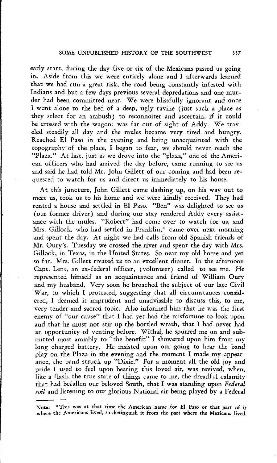early start, during the day five or six of the Mexicans passed us going in. Aside from this we were entirely alone and I afterwards learned that we had run a great risk, the road being constantly infested with Indians and but a few days previous several depredations and one murder had been committed near. We were blissfully ignorant and once I went alone to the bed of a deep, ugly ravine (just such a place as they select for an ambush) to reconnoiter and ascertain, if it could be crossed with the wagon; was far out of sight of Addy. We traveled steadily all day and the mules became very tired and hungry. Reached El Paso in the evening and being unacquainted with the topography of the place, I began to fear, we should never reach the "Plaza." At last, just as we drove into the "plaza," one of the American officers who had arrived the day before, came running to see us and said he had told Mr. John Gillett of our coming and had been requested to watch for us and direct us immediately to his house.

At this juncture, John Gillett came dashing up, on his way out to meet us, took us to his home and we were kindly received. They had rented a house and settled in El Paso. "Ben" was delighted to see us (our former driver) and during our stay rendered Addy every assistance with the mules. "Robert" had come over to watch for us, and Mrs. Gillock, who had settled in Franklin,\* came over next morning and spent the day. At night we had calls from old Spanish friends of Mr. Oury's. Tuesday we crossed the river and spent the day with Mrs. Gillock, in Texas, in the United States. So near my old home and yet so far. Mrs. Gillett treated us to an excellent dinner. In the afternoon Capt. Lent, an ex-federal officer, (volunteer) called to see me. He represented himself as an acquaintance and friend of William Oury and my husband. Very soon he broached the subject of our late Civil War, to which I protested, suggesting that all circumstances considered, I deemed it imprudent and unadvisable to discuss this, to me, very tender and sacred topic. Also informed him that he was the first enemy of "our cause" that I had yet had the misfortune to look upon and that he must not stir up the bottled wrath, that I had never had an opportunity of venting before. Withal, he spurred me on and submitted most amiably to "the benefit" I showered upon him from my long charged battery. He insisted upon our going to hear the band play on the Plaza in the evening and the moment I made my appearance, the band struck up "Dixie." For a moment all the old joy and pride I used to feel upon hearing this loved air, was revived, when, like a flash, the true state of things came to me, the dreadful calamity that had befallen our beloved South, that I was standing upon *Federal soil* and listening to our glorious National air being played by a Federal

Note: This was at that time the American name for El Paso or that part of it where the Americans lived, to distinguish it from the part where the Mexicans lived.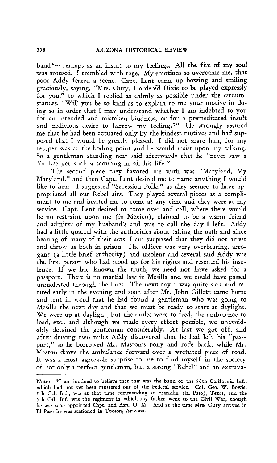band"—perhaps as an insult to my feelings. All the fire of my soul was aroused. I trembled with rage. My emotions so overcame me, that poor Addy feared a scene. Capt. Lent came up bowing and smiling graciously, saying, "Mrs. Oury, I ordered Dixie to be played expressly for you," to which I replied as calmly as possible under the circumstances, "Will you be so kind as to explain to me your motive in doing so in order that 1 may understand whether I am indebted to you for an intended and mistaken kindness, or for a premeditated insult and malicious desire to harrow my feelings?" He strongly assured me that he had been actuated only by the kindest motives and had supposed that I would be greatly pleased. I did not spare him, for my temper was at the boiling point and he would insist upon my talking. So a gentleman standing near said afterwards that he "never saw <sup>a</sup> Yankee get such a scouring in all his life."

The second piece they favored me with was "Maryland, My Maryland," and then Capt. Lent desired me to name anything I would like to hear. I suggested "Secession Polka" as they seemed to have appropriated all our Rebel airs. They played several pieces as a compliment to me and invited me to come at any time and they were at my service. Capt. Lent desired to come over and call, where there would be no restraint upon me (in Mexico), claimed to be a warm friend and admirer of my husband's and was to call the day I left. Addy had a little quarrel with the authorities about taking the oath and since hearing of many of their acts, I am surprised that they did not arrest and throw us both in prison. The officer was very overbearing, arrogant (a little brief authority) and insolent and several said Addy was the first person who had stood up for his rights and resented his insolence. If we had known the truth, we need not have asked for a passport. There is no martial law in Mesilla and we could have passed unmolested through the lines. The next day I was quite sick and retired early in the evening and soon after Mr. John Gillett came home and sent in word that he had found a gentleman who was going to Mesilla the next day and that we must be ready to start at daylight. We were up at daylight, but the mules were to feed, the ambulance to load, etc., and although we made every effort possible, we unavoidably detained the gentleman considerably. At last we got off, and after driving two miles Addy discovered that he had left his "passport," so he borrowed Mr. Maston's pony and rode back, while Mr. Maston drove the ambulance forward over a wretched piece of road. It was a most agreeable surprise to me to find myself in the society of not only a perfect gentleman, but a strong "Rebel" and an extrava-

Note: \*I am inclined to believe that this was the band of the 50th California Inf., which had not yet been mustered out of the Federal service. Col. Geo. W. Bowie, 5th Cal. Inf., was at that time commanding at Franklin (El Paso), Texas, and the 5th Cal. Inf. *was* the regiment in which my father went to the Civil War, though he was soon appointed Capt. and Asst. Q. M. And at the time Mrs, Oury arrived in **El** Paso he was stationed in Tucson, Arizona.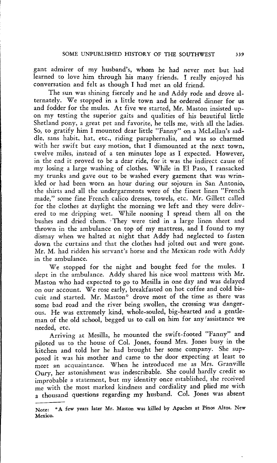gant admirer of my husband's, whom he had never met but had learned to love him through his many friends. I really enjoyed his conversation and felt as though I had met an old friend.

The sun was shining fiercely and he and Addy rode and drove alternately. We stopped in a little town and he ordered dinner for us and fodder for the mules. At five we started, Mr. Maston insisted upon my testing the superior gaits and qualities of his beautiful little Shetland pony, a great pet and favorite, he tells me, with all the ladies. So, to gratify him I mounted dear little "Fanny" on a McLellan's saddle, sans habit, hat, etc., riding paraphernalia, and was so charmed with her swift but easy motion, that I dismounted at the next town, twelve miles, instead of a ten minutes lope as I expected. However, in the end it proved to be a dear ride, for it was the indirect cause of my losing a large washing of clothes. While in El Paso, I ransacked my trunks and gave out to be washed every garment that was wrinkled or had been worn an hour during our sojourn in San Antonio, the shirts and all the undergarments were of the finest linen "French made," some fine French calico dresses, towels, etc. Mr. Gillett called for the clothes at daylight the morning we left and they were delivered to me dripping wet. While nooning I spread them all on the bushes and dried them. They were tied in a large linen sheet and thrown in the ambulance on top of my mattress, and I found to my dismay when we halted at night that Addy had neglected to fasten down the curtains and that the clothes had jolted out and were gone. Mr. M. had ridden his servant's horse and the Mexican rode with Addy in the ambulance.

We stopped for the night and bought feed for the mules. I slept in the ambulance. Addy shared his nice wool mattress with Mr. Maston who had expected to go to Mesilla in one day and was delayed on our account. We rose early, breakfasted on hot coffee and cold biscuit and started. Mr. Maston" drove most of the time as there was some bad road and the river being swollen, the crossing was dangerous. He was extremely kind, whole-souled, big-hearted and a gentleman of the old school, begged us to call on him for any (assistance we needed, etc.

Arriving at Mesilla, he mounted the swift-footed "Fanny" and piloted us to the house of Col. Jones, found Mrs. Jones busy in the kitchen and told her he had brought her some company. She supposed it was his mother and came to the door expecting at least to meet an acquaintance. When he introduced me as Mrs. Granville Oury, her astonishment was indescribable. She could hardly credit so improbable a statement, but my identity once established, she received me with the most marked kindness and cordiality and plied me with a thousand questions regarding my husband. Col. Jones was absent

Note: \*A few years later Mr. Maston was killed by Apaches at Pinos Altos. New Mexico.